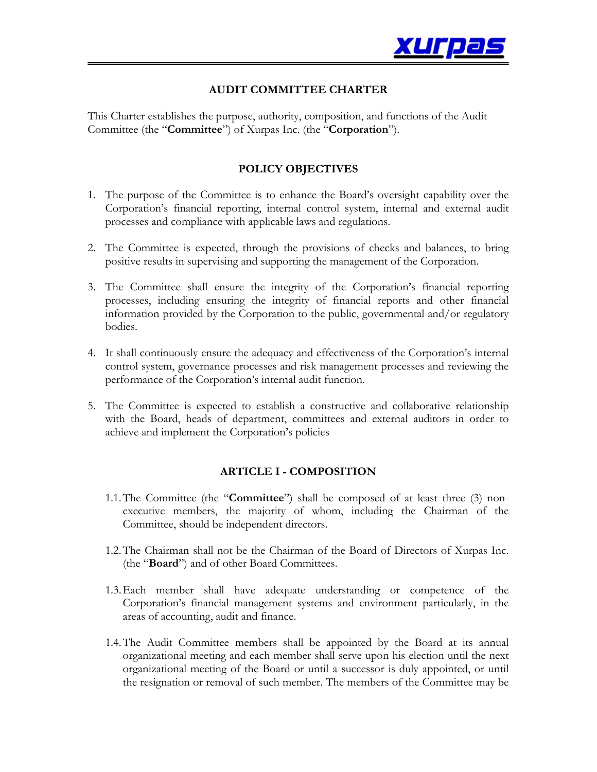

# **AUDIT COMMITTEE CHARTER**

This Charter establishes the purpose, authority, composition, and functions of the Audit Committee (the "**Committee**") of Xurpas Inc. (the "**Corporation**").

## **POLICY OBJECTIVES**

- 1. The purpose of the Committee is to enhance the Board's oversight capability over the Corporation's financial reporting, internal control system, internal and external audit processes and compliance with applicable laws and regulations.
- 2. The Committee is expected, through the provisions of checks and balances, to bring positive results in supervising and supporting the management of the Corporation.
- 3. The Committee shall ensure the integrity of the Corporation's financial reporting processes, including ensuring the integrity of financial reports and other financial information provided by the Corporation to the public, governmental and/or regulatory bodies.
- 4. It shall continuously ensure the adequacy and effectiveness of the Corporation's internal control system, governance processes and risk management processes and reviewing the performance of the Corporation's internal audit function.
- 5. The Committee is expected to establish a constructive and collaborative relationship with the Board, heads of department, committees and external auditors in order to achieve and implement the Corporation's policies

### **ARTICLE I - COMPOSITION**

- 1.1.The Committee (the "**Committee**") shall be composed of at least three (3) nonexecutive members, the majority of whom, including the Chairman of the Committee, should be independent directors.
- 1.2.The Chairman shall not be the Chairman of the Board of Directors of Xurpas Inc. (the "**Board**") and of other Board Committees.
- 1.3.Each member shall have adequate understanding or competence of the Corporation's financial management systems and environment particularly, in the areas of accounting, audit and finance.
- 1.4.The Audit Committee members shall be appointed by the Board at its annual organizational meeting and each member shall serve upon his election until the next organizational meeting of the Board or until a successor is duly appointed, or until the resignation or removal of such member. The members of the Committee may be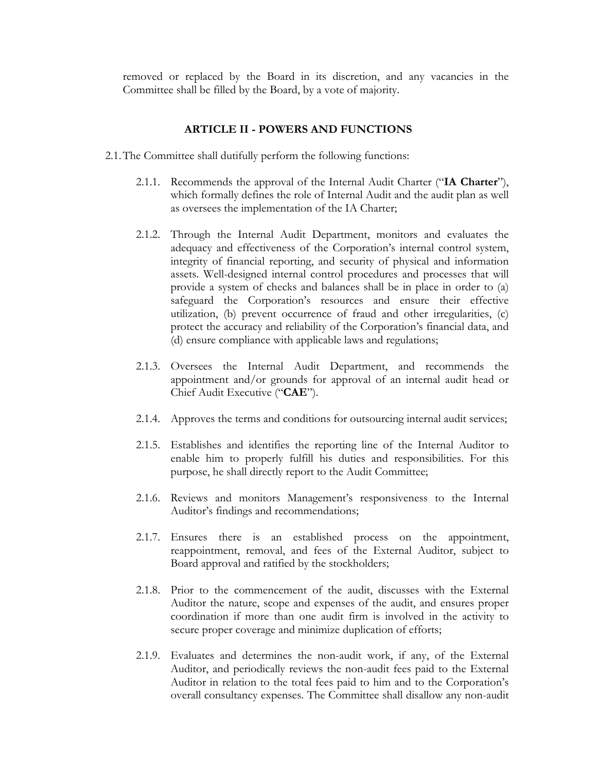removed or replaced by the Board in its discretion, and any vacancies in the Committee shall be filled by the Board, by a vote of majority.

#### **ARTICLE II - POWERS AND FUNCTIONS**

- 2.1.The Committee shall dutifully perform the following functions:
	- 2.1.1. Recommends the approval of the Internal Audit Charter ("**IA Charter**"), which formally defines the role of Internal Audit and the audit plan as well as oversees the implementation of the IA Charter;
	- 2.1.2. Through the Internal Audit Department, monitors and evaluates the adequacy and effectiveness of the Corporation's internal control system, integrity of financial reporting, and security of physical and information assets. Well-designed internal control procedures and processes that will provide a system of checks and balances shall be in place in order to (a) safeguard the Corporation's resources and ensure their effective utilization, (b) prevent occurrence of fraud and other irregularities, (c) protect the accuracy and reliability of the Corporation's financial data, and (d) ensure compliance with applicable laws and regulations;
	- 2.1.3. Oversees the Internal Audit Department, and recommends the appointment and/or grounds for approval of an internal audit head or Chief Audit Executive ("**CAE**").
	- 2.1.4. Approves the terms and conditions for outsourcing internal audit services;
	- 2.1.5. Establishes and identifies the reporting line of the Internal Auditor to enable him to properly fulfill his duties and responsibilities. For this purpose, he shall directly report to the Audit Committee;
	- 2.1.6. Reviews and monitors Management's responsiveness to the Internal Auditor's findings and recommendations;
	- 2.1.7. Ensures there is an established process on the appointment, reappointment, removal, and fees of the External Auditor, subject to Board approval and ratified by the stockholders;
	- 2.1.8. Prior to the commencement of the audit, discusses with the External Auditor the nature, scope and expenses of the audit, and ensures proper coordination if more than one audit firm is involved in the activity to secure proper coverage and minimize duplication of efforts;
	- 2.1.9. Evaluates and determines the non-audit work, if any, of the External Auditor, and periodically reviews the non-audit fees paid to the External Auditor in relation to the total fees paid to him and to the Corporation's overall consultancy expenses. The Committee shall disallow any non-audit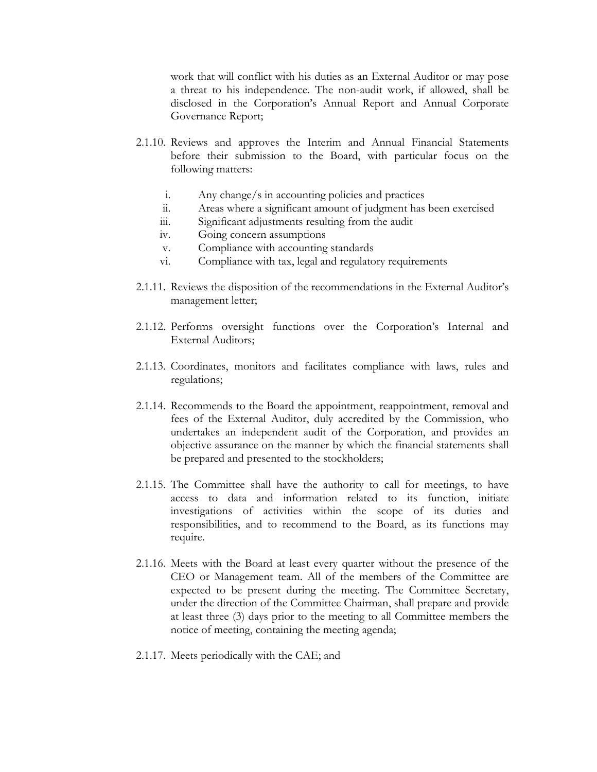work that will conflict with his duties as an External Auditor or may pose a threat to his independence. The non-audit work, if allowed, shall be disclosed in the Corporation's Annual Report and Annual Corporate Governance Report;

- 2.1.10. Reviews and approves the Interim and Annual Financial Statements before their submission to the Board, with particular focus on the following matters:
	- i. Any change/s in accounting policies and practices
	- ii. Areas where a significant amount of judgment has been exercised
	- iii. Significant adjustments resulting from the audit
	- iv. Going concern assumptions
	- v. Compliance with accounting standards
	- vi. Compliance with tax, legal and regulatory requirements
- 2.1.11. Reviews the disposition of the recommendations in the External Auditor's management letter;
- 2.1.12. Performs oversight functions over the Corporation's Internal and External Auditors;
- 2.1.13. Coordinates, monitors and facilitates compliance with laws, rules and regulations;
- 2.1.14. Recommends to the Board the appointment, reappointment, removal and fees of the External Auditor, duly accredited by the Commission, who undertakes an independent audit of the Corporation, and provides an objective assurance on the manner by which the financial statements shall be prepared and presented to the stockholders;
- 2.1.15. The Committee shall have the authority to call for meetings, to have access to data and information related to its function, initiate investigations of activities within the scope of its duties and responsibilities, and to recommend to the Board, as its functions may require.
- 2.1.16. Meets with the Board at least every quarter without the presence of the CEO or Management team. All of the members of the Committee are expected to be present during the meeting. The Committee Secretary, under the direction of the Committee Chairman, shall prepare and provide at least three (3) days prior to the meeting to all Committee members the notice of meeting, containing the meeting agenda;
- 2.1.17. Meets periodically with the CAE; and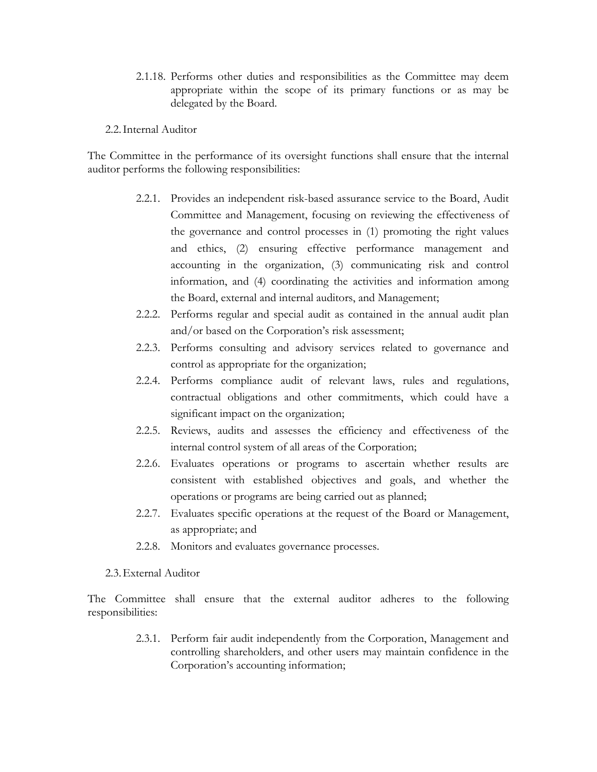- 2.1.18. Performs other duties and responsibilities as the Committee may deem appropriate within the scope of its primary functions or as may be delegated by the Board.
- 2.2.Internal Auditor

The Committee in the performance of its oversight functions shall ensure that the internal auditor performs the following responsibilities:

- 2.2.1. Provides an independent risk-based assurance service to the Board, Audit Committee and Management, focusing on reviewing the effectiveness of the governance and control processes in (1) promoting the right values and ethics, (2) ensuring effective performance management and accounting in the organization, (3) communicating risk and control information, and (4) coordinating the activities and information among the Board, external and internal auditors, and Management;
- 2.2.2. Performs regular and special audit as contained in the annual audit plan and/or based on the Corporation's risk assessment;
- 2.2.3. Performs consulting and advisory services related to governance and control as appropriate for the organization;
- 2.2.4. Performs compliance audit of relevant laws, rules and regulations, contractual obligations and other commitments, which could have a significant impact on the organization;
- 2.2.5. Reviews, audits and assesses the efficiency and effectiveness of the internal control system of all areas of the Corporation;
- 2.2.6. Evaluates operations or programs to ascertain whether results are consistent with established objectives and goals, and whether the operations or programs are being carried out as planned;
- 2.2.7. Evaluates specific operations at the request of the Board or Management, as appropriate; and
- 2.2.8. Monitors and evaluates governance processes.

### 2.3.External Auditor

The Committee shall ensure that the external auditor adheres to the following responsibilities:

> 2.3.1. Perform fair audit independently from the Corporation, Management and controlling shareholders, and other users may maintain confidence in the Corporation's accounting information;